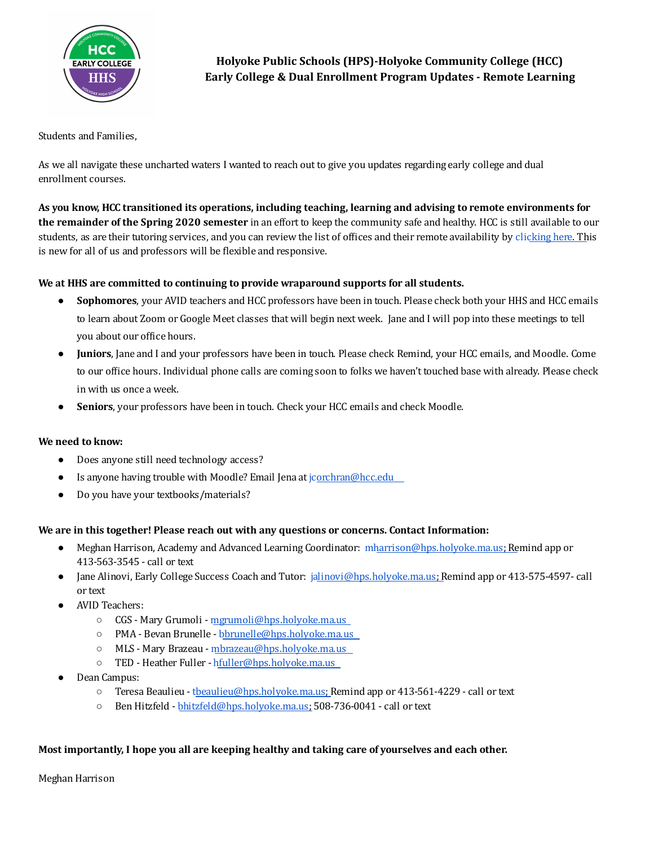

## Students and Families,

As we all navigate these uncharted waters I wanted to reach out to give you updates regarding early college and dual enrollment courses.

As you know, HCC transitioned its operations, including teaching, learning and advising to remote environments for **the remainder of the Spring 2020 semester** in an effort to keep the community safe and healthy. HCC is still available to our students, as are their tutoring services, and you can review the list of ofices and their remote availability by [clicking](https://www.hcc.edu/student-life/caring-for-yourself/coronavirus/temporary-hours) here. This is new for all of us and professors will be flexible and responsive.

# **We at HHS are committed to continuing to provide wraparound supports for all students.**

- **Sophomores**, your AVID teachers and HCC professors have been in touch. Please check both your HHS and HCC emails to learn about Zoom or Google Meet classes that will begin next week. Jane and I will pop into these meetings to tell you about our ofice hours.
- **Juniors**, Jane and I and your professors have been in touch. Please check Remind, your HCC emails, and Moodle. Come to our ofice hours. Individual phone calls are coming soon to folks we haven't touched base with already. Please check in with us once a week.
- Seniors, your professors have been in touch. Check your HCC emails and check Moodle.

### **We need to know:**

- Does anyone still need technology access?
- Is anyone having trouble with Moodle? Email Jena at [jcorchran@hcc.edu](mailto:jcorchran@hcc.edu)
- Do you have your textbooks/materials?

### **We are in this together! Please reach out with any questions or concerns. Contact Information:**

- Meghan Harrison, Academy and Advanced Learning Coordinator: [mharrison@hps.holyoke.ma.us;](mailto:mharrison@hps.holyoke.ma.us) Remind app or 413-563-3545 - call or text
- Jane Alinovi, Early College Success Coach and Tutor: [jalinovi@hps.holyoke.ma.us;](mailto:jalinovi@hps.holyoke.ma.us) Remind app or 413-575-4597- call or text
- AVID Teachers:
	- CGS Mary Grumoli [mgrumoli@hps.holyoke.ma.us](mailto:mgrumoli@hps.holyoke.ma.us)
	- PMA Bevan Brunelle [bbrunelle@hps.holyoke.ma.us](mailto:bbrunelle@hps.holyoke.ma.us)
	- MLS Mary Brazeau [mbrazeau@hps.holyoke.ma.us](mailto:mbrazeau@hps.holyoke.ma.us)
	- TED Heather Fuller [hfuller@hps.holyoke.ma.us](mailto:hfuller@hps.holyoke.ma.us)
- Dean Campus:
	- Teresa Beaulieu [tbeaulieu@hps.holyoke.ma.us](mailto:tbeaulieu@hps.holyoke.ma.us); Remind app or 413-561-4229 call or text
	- Ben Hitzfeld [bhitzfeld@hps.holyoke.ma.us;](mailto:bhitzfeld@hps.holyoke.ma.us) 508-736-0041 call or text

### **Most importantly, I hope you all are keeping healthy and taking care of yourselves and each other.**

Meghan Harrison